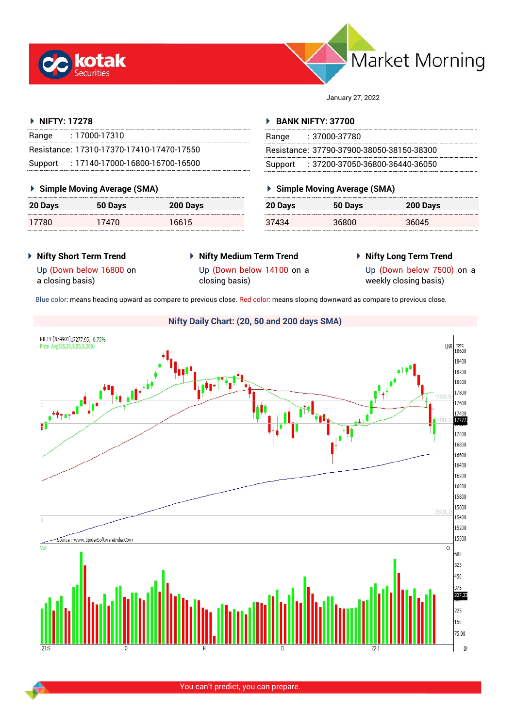



January 27, 2022

#### **NIFTY: 17278**

| Range   | $: 17000 - 17310$                         |
|---------|-------------------------------------------|
|         | Resistance: 17310-17370-17410-17470-17550 |
| Support | $: 17140$ -17000-16800-16700-16500        |

## **Simple Moving Average (SMA)**

| <b>20 Days</b> | 50 Days | 200 Days |
|----------------|---------|----------|
| 17780          | 17470   | 16615    |

## **BANK NIFTY: 37700**

| Range | $: 37000 - 37780$                         |
|-------|-------------------------------------------|
|       | Resistance: 37790-37900-38050-38150-38300 |
|       | Support : 37200-37050-36800-36440-36050   |

# **Simple Moving Average (SMA)**

| 20 Days | 50 Days | 200 Days |
|---------|---------|----------|
| 37434   | 36800   | 36045    |

- **Nifty Short Term Trend**
- **Nifty Medium Term Trend** closing basis)
- **Nifty Long Term Trend**

Up (Down below 16800 on a closing basis)

Up (Down below 14100 on a

Up (Down below 7500) on a weekly closing basis)

Blue color: means heading upward as compare to previous close. Red color: means sloping downward as compare to previous close.

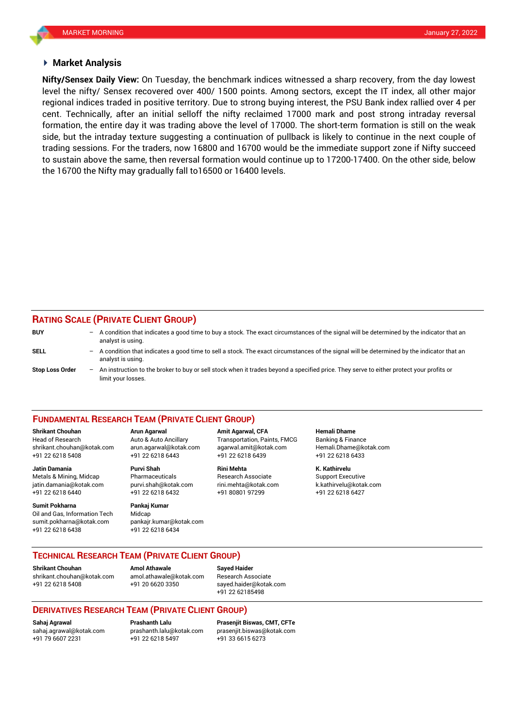#### **Market Analysis**

level the nifty/ Sensex recovered over 400/ 1500 points. Among sectors, except the IT index, all other major cent. Technically, after an initial selloff the nifty reclaimed 17000 mark and post strong intraday reversal **Nifty/Sensex Daily View:** On Tuesday, the benchmark indices witnessed a sharp recovery, from the day lowest regional indices traded in positive territory. Due to strong buying interest, the PSU Bank index rallied over 4 per formation, the entire day it was trading above the level of 17000. The short-term formation is still on the weak side, but the intraday texture suggesting a continuation of pullback is likely to continue in the next couple of trading sessions. For the traders, now 16800 and 16700 would be the immediate support zone if Nifty succeed to sustain above the same, then reversal formation would continue up to 17200-17400. On the other side, below the 16700 the Nifty may gradually fall to16500 or 16400 levels.

#### **RATING SCALE (PRIVATE CLIENT GROUP)**

| <b>BUY</b>             | $\overline{\phantom{0}}$ | A condition that indicates a good time to buy a stock. The exact circumstances of the signal will be determined by the indicator that an<br>analyst is using.  |
|------------------------|--------------------------|----------------------------------------------------------------------------------------------------------------------------------------------------------------|
| <b>SELL</b>            | $-$                      | A condition that indicates a good time to sell a stock. The exact circumstances of the signal will be determined by the indicator that an<br>analyst is using. |
| <b>Stop Loss Order</b> | $\overline{\phantom{0}}$ | An instruction to the broker to buy or sell stock when it trades beyond a specified price. They serve to either protect your profits or<br>limit your losses.  |

#### **FUNDAMENTAL RESEARCH TEAM (PRIVATE CLIENT GROUP)**

**Shrikant Chouhan Arun Agarwal Amit Agarwal, CFA Hemali Dhame** Head of Research Auto & Auto Ancillary Transportation, Paints, FMCG Banking & Finance [shrikant.chouhan@kotak.com](mailto:shrikant.chouhan@kotak.com) arun.agarwal@kotak.com agarwal.amit@kotak.com Hemali.Dhame@kotak.com

**Jatin Damania Purvi Shah Rini Mehta K. Kathirvelu** Metals & Mining, Midcap Pharmaceuticals Research Associate Support Executive

**Sumit Pokharna** Pankaj Kumar Oil and Gas, Information Tech Midcap

+91 22 6218 5408 +91 22 6218 6443 +91 22 6218 6439 +91 22 6218 6433

jatin.damania@kotak.com [purvi.shah@kotak.com](mailto:purvi.shah@kotak.com) rini.mehta@kotak.com [k.kathirvelu@kotak.com](mailto:k.kathirvelu@kotak.com)  $+91$  22 6218 6432

sumit.pokharna@kotak.com pankajr.kumar@kotak.com +91 22 6218 6438 +91 22 6218 6434

**TECHNICAL RESEARCH TEAM (PRIVATE CLIENT GROUP)** 

[shrikant.chouhan@kotak.com](mailto:shrikant.chouhan@kotak.com) [amol.athawale@kotak.com](mailto:amol.athawale@kotak.com) Research Associate +91 22 6218 5408 +91 20 6620 3350 [sayed.haider@kotak.com](mailto:sayed.haider@kotak.com)

**Shrikant Chouhan Amol Athawale Sayed Haider**

+91 22 62185498

## **DERIVATIVES RESEARCH TEAM (PRIVATE CLIENT GROUP)**

**Sahaj Agrawal Prashanth Lalu Prasenjit Biswas, CMT, CFTe** [sahaj.agrawal@kotak.com](mailto:sahaj.agrawal@kotak.com) [prashanth.lalu@kotak.com](mailto:prashanth.lalu@kotak.com) [prasenjit.biswas@kotak.com](mailto:prasenjit.biswas@kotak.com) +91 22 6218 5497 +91 33 6615 6273